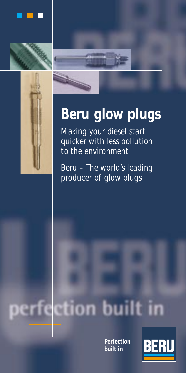







Making your diesel start quicker with less pollution to the environment

Beru – The world's leading producer of glow plugs

# tion built in

**Perfection built in** 

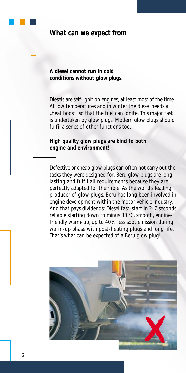|  |  |  | What can we expect from |  |
|--|--|--|-------------------------|--|
|--|--|--|-------------------------|--|

**A diesel cannot run in cold conditions without glow plugs.**

Diesels are self-ignition engines, at least most of the time. At low temperatures and in winter the diesel needs a "heat boost" so that the fuel can ignite. This major task is undertaken by glow plugs. Modern glow plugs should fulfil a series of other functions too.

**High quality glow plugs are kind to both engine and environment!**

Defective or cheap glow plugs can often not carry out the tasks they were designed for. Beru glow plugs are longlasting and fulfil all requirements because they are perfectly adapted for their role. As the world's leading producer of glow plugs, Beru has long been involved in engine development within the motor vehicle industry. And that pays dividends: Diesel fast-start in 2-7 seconds, reliable starting down to minus 30 °C, smooth, enginefriendly warm-up, up to 40% less soot emission during warm-up phase with post-heating plugs and long life. That's what can be expected of a Beru glow plug!

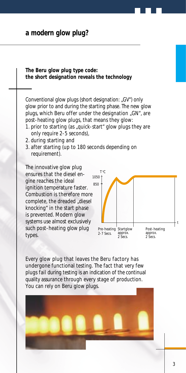## **a modern glow plug?**

**The Beru glow plug type code: the short designation reveals the technology**

Conventional glow plugs (short designation: "GV") only glow prior to and during the starting phase. The new glow plugs, which Beru offer under the designation "GN", are post-heating glow plugs, that means they glow:

- 1. prior to starting (as "guick-start" glow plugs they are only require 2-5 seconds),
- 2. during starting and
- 3. after starting (up to 180 seconds depending on requirement).

The innovative glow plug ensures that the diesel engine reaches the ideal ignition temperature faster. Combustion is therefore more complete, the dreaded "diesel knocking" in the start phase is prevented. Modern glow systems use almost exclusively such post-heating glow plug types.



Every glow plug that leaves the Beru factory has undergone functional testing. The fact that very few plugs fail during testing is an indication of the continual quality assurance through every stage of production. You can rely on Beru glow plugs.

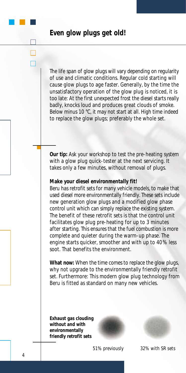# **Even glow plugs get old!**

The life span of glow plugs will vary depending on regularity of use and climatic conditions. Regular cold starting will cause glow plugs to age faster. Generally, by the time the unsatisfactory operation of the glow plug is noticed, it is too late: At the first unexpected frost the diesel starts really badly, knocks loud and produces great clouds of smoke. Below minus 10 °C, it may not start at all. High time indeed to replace the glow plugs; preferably the whole set.

**Our tip:** Ask your workshop to test the pre-heating system with a glow plug quick-tester at the next servicing. It takes only a few minutes, without removal of plugs.

### **Make your diesel environmentally fit!**

Beru has retrofit sets for many vehicle models, to make that used diesel more environmentally friendly. These sets include new generation glow plugs and a modified glow phase control unit which can simply replace the existing system. The benefit of these retrofit sets is that the control unit facilitates glow plug pre-heating for up to 3 minutes after starting. This ensures that the fuel combustion is more complete and quieter during the warm-up phase. The engine starts quicker, smoother and with up to 40% less soot. That benefits the environment.

**What now:** When the time comes to replace the glow plugs, why not upgrade to the environmentally friendly retrofit set. Furthermore: This modern glow plug technology from Beru is fitted as standard on many new vehicles.

**Exhaust gas clouding without and with environmentally friendly retrofit sets**





*51% previously 32% with SR sets*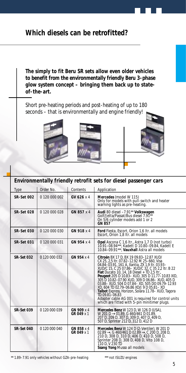# **Which diesels can be retrofitted?**

**The simply to fit Beru SR sets allow even older vehicles to benefit from the environmentally friendly Beru 3-phase glow system concept – bringing them back up to stateof-the-art.**

Short pre-heating periods and post-heating of up to 180 seconds – that is environmentally and engine friendly!







| Environmentally friendly retrofit sets for diesel passenger cars |               |                          |                                                                                                                                                                                                                                                                                                                                                                                                                                                                                                                                                                                                                               |  |
|------------------------------------------------------------------|---------------|--------------------------|-------------------------------------------------------------------------------------------------------------------------------------------------------------------------------------------------------------------------------------------------------------------------------------------------------------------------------------------------------------------------------------------------------------------------------------------------------------------------------------------------------------------------------------------------------------------------------------------------------------------------------|--|
| Type                                                             | Order No.     | Contents                 | Application                                                                                                                                                                                                                                                                                                                                                                                                                                                                                                                                                                                                                   |  |
| <b>SR-Set 002</b>                                                | 0 120 000 002 | GV 626 x 4               | Mercedes (model W 115)<br>Only for models with pull-switch and heater<br>warning lights as pre-heating.                                                                                                                                                                                                                                                                                                                                                                                                                                                                                                                       |  |
| <b>SR-Set 028</b>                                                | 0 120 000 028 | GN 857 x 4               | Audi 80 diesel -7.91** Volkswagen<br>Golf/Jetta/Passat/Bus diesel 7.91**<br>On 5/6 cylinder models add 1 or 2<br>GN 857                                                                                                                                                                                                                                                                                                                                                                                                                                                                                                       |  |
| <b>SR-Set 030</b>                                                | 0 120 000 030 | GN 918 x 4               | Ford Fiesta, Escort, Orion 1,6 Itr. all models<br>Escort. Orion 1.8 Itr. all models                                                                                                                                                                                                                                                                                                                                                                                                                                                                                                                                           |  |
| <b>SR-Set 031</b>                                                | 0 120 000 031 | GN 954 x 4               | Opel Ascona C 1,6 ltr., Astra 1,7 D (not turbo)<br>10.91-08.94***, Kadett D 10.80-09.84, Kadett E<br>10.84-09.91***, Vauxhall Astra all models                                                                                                                                                                                                                                                                                                                                                                                                                                                                                |  |
| <b>SR-Set 032</b>                                                | 0 120 000 032 | GN 954 x 4               | Citroën BX 17 D, BX 19 09.83-12.87 XUD/<br>CX 25, 2,5 ltr. 07.82-12.92 M 25-660, Visa<br>04.84-03.91, 161 A. Xantia, ZX 1.9 ltr. 03.93-<br>XUD/C 15, C 25 07.86- XUD/C 32, C 35 2,2 ltr. B 22<br>Fiat Ducato 10, 14, 18 Diesel + TD 2,5 ltr.,<br>Peugeot 205 D 10.83- XUD, 305 D 11.77-10.83 XID,<br>305 D 10.82-07.90 XUD, 309 D 06.86- XUD, 405 D<br>03.88-XUD, 504 D 07.84-XD, 505 DO 09.79-12.93<br>XD, 604 TD 02.79-06.86 XD/J 9 D 05.81-XD<br>Talbot Express, Horizon, Solara 11.78-XUD, Tagora<br>TD 09.81-06.83<br>Adapter cable AG 001 is required for control units<br>which are fitted with 5-pin minitimer plugs. |  |
| <b>SR-Set 039</b>                                                | 0 120 000 039 | GN 909 x 4<br>GR 049 x 1 | Mercedes Benz W 123 D, W 126 D (USA),<br>W 201 D $\rightarrow$ 01.89, G 460/461 D 01.89,<br>207 D, 209 D, 307 D, 309 D, 407 D, 409 D,<br>507 D. Sprinter 212 D. 312 D. 412 D.                                                                                                                                                                                                                                                                                                                                                                                                                                                 |  |
| <b>SR-Set 040</b>                                                | 0 120 000 040 | GN 858 x 4<br>GR 049 x 1 | Mercedes Benz W 124 D (2-Ventiler), W 201 D<br>$02.89 \rightarrow$ , G 460/461 D 02.89 $\rightarrow$ , C 200 D, 208 D,<br>210 D, 308 D, 310 D, 406 D, 410 D, 508 D,<br>Sprinter 208 D, 308 D, 408 D, Vito 108 D,<br>110 D, V 230 TD<br>Ssang Yong Musso all models                                                                                                                                                                                                                                                                                                                                                            |  |

\*\* 1.89-7.91 only vehicles without GZA-pre-heating \*\*\* not ISUZU engines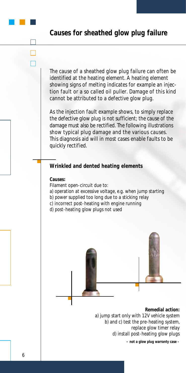# **Causes for sheathed glow plug failure**

The cause of a sheathed glow plug failure can often be identified at the heating element. A heating element showing signs of melting indicates for example an injection fault or a so called oil puller. Damage of this kind cannot be attributed to a defective glow plug.

As the injection fault example shows, to simply replace the defective glow plug is not sufficient; the cause of the damage must also be rectified. The following illustrations show typical plug damage and the various causes. This diagnosis aid will in most cases enable faults to be quickly rectified.

### **Wrinkled and dented heating elements**

### **Causes:**

Filament open-circuit due to:

- a) operation at excessive voltage, e.g. when jump starting
- b) power supplied too long due to a sticking relay
- c) incorrect post-heating with engine running
- d) post-heating glow plugs not used



**– not a glow plug warranty case –**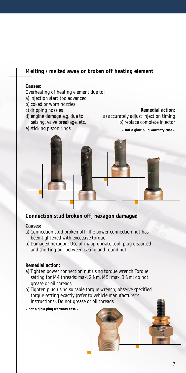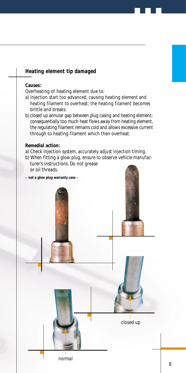# **Causes:** Overheating of heating element due to: a) injection start too advanced, causing heating element and heating filament to overheat; the heating filament becomes brittle and breaks. b) closed up annular gap between plug casing and heating element; consequentially too much heat flows away from heating element, the regulating filament remains cold and allows excessive current through to heating filament which then overheat. **Remedial action:** a) Check injection system, accurately adjust injection timing. b) When fitting a glow plug, ensure to observe vehicle manufacturer's instructions. Do not grease or oil threads. **– not a glow plug warranty case – Heating element tip damaged** *closed up normal*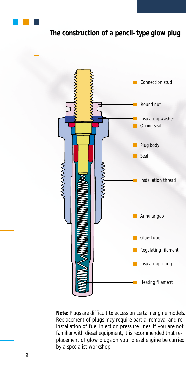

**Note:** Plugs are difficult to access on certain engine models. Replacement of plugs may require partial removal and reinstallation of fuel injection pressure lines. If you are not familiar with diesel equipment, it is recommended that replacement of glow plugs on your diesel engine be carried by a specialist workshop.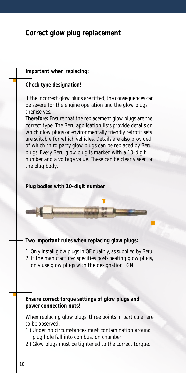# **Correct glow plug replacement**

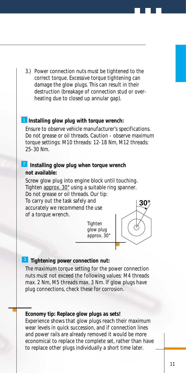3.) Power connection nuts must be tightened to the correct torque. Excessive torque tightening can damage the glow plugs. This can result in their destruction (breakage of connection stud or overheating due to closed up annular gap).

### 1 Installing glow plug with torque wrench:

Ensure to observe vehicle manufacturer's specifications. Do not grease or oil threads. Caution - observe maximum torque settings: M10 threads: 12-18 Nm, M12 threads: 25-30 Nm.

### **2** Installing glow plug when torque wrench **not available:**

Screw glow plug into engine block until touching. Tighten approx. 30° using a suitable ring spanner. Do not grease or oil threads. Our tip:

To carry out the task safely and accurately we recommend the use of a torque wrench.

> *Tighten glow plug approx. 30°*



### **3** Tightening power connection nut:

The maximum torque setting for the power connection nuts must not exceed the following values: M4 threads max. 2 Nm, M5 threads max. 3 Nm. If glow plugs have plug connections, check these for corrosion.

### **Economy tip: Replace glow plugs as sets!**

Experience shows that glow plugs reach their maximum wear levels in quick succession, and if connection lines and power rails are already removed it would be more economical to replace the complete set, rather than have to replace other plugs individually a short time later.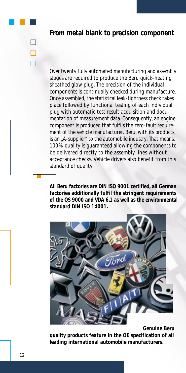### **From metal blank to precision component**

Over twenty fully automated manufacturing and assembly stages are required to produce the Beru quick-heating sheathed glow plug. The precision of the individual components is continually checked during manufacture. Once assembled, the statistical leak-tightness check takes place followed by functional testing of each individual plug with automatic test result acquisition and documentation of measurement data. Consequently, an engine component is produced that fulfils the zero-fault requirement of the vehicle manufacturer. Beru, with its products, is an "A-supplier" to the automobile industry. That means, 100% quality is guaranteed allowing the components to be delivered directly to the assembly lines without acceptance checks. Vehicle drivers also benefit from this standard of quality.

**All Beru factories are DIN ISO 9001 certified, all German factories additionally fulfil the stringent requirements of the QS 9000 and VDA 6.1 as well as the environmental standard DIN ISO 14001.**



**Genuine Beru quality products feature in the OE specification of all leading international automobile manufacturers.**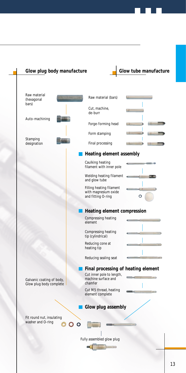

### 13